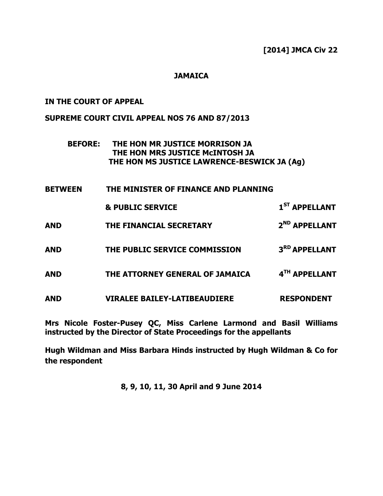## **JAMAICA**

### IN THE COURT OF APPEAL

### SUPREME COURT CIVIL APPEAL NOS 76 AND 87/2013

# BEFORE: THE HON MR JUSTICE MORRISON JA THE HON MRS JUSTICE McINTOSH JA THE HON MS JUSTICE LAWRENCE-BESWICK JA (Ag)

| <b>BETWEEN</b> | THE MINISTER OF FINANCE AND PLANNING |                           |
|----------------|--------------------------------------|---------------------------|
|                | <b>&amp; PUBLIC SERVICE</b>          | 1 <sup>ST</sup> APPELLANT |
| <b>AND</b>     | THE FINANCIAL SECRETARY              | 2 <sup>ND</sup> APPELLANT |
| <b>AND</b>     | THE PUBLIC SERVICE COMMISSION        | 3RD APPELLANT             |
| <b>AND</b>     | THE ATTORNEY GENERAL OF JAMAICA      | 4TH APPELLANT             |
| <b>AND</b>     | <b>VIRALEE BAILEY-LATIBEAUDIERE</b>  | <b>RESPONDENT</b>         |

Mrs Nicole Foster-Pusey QC, Miss Carlene Larmond and Basil Williams instructed by the Director of State Proceedings for the appellants

Hugh Wildman and Miss Barbara Hinds instructed by Hugh Wildman & Co for the respondent

8, 9, 10, 11, 30 April and 9 June 2014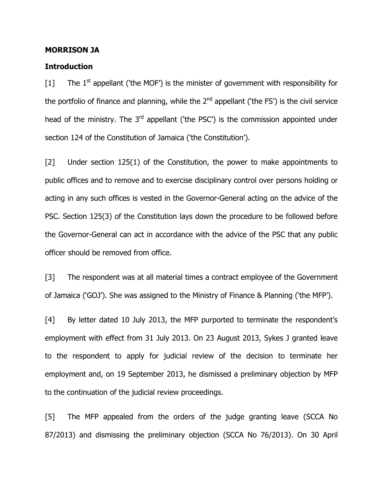#### MORRISON JA

#### **Introduction**

 $[1]$  The 1<sup>st</sup> appellant ('the MOF') is the minister of government with responsibility for the portfolio of finance and planning, while the  $2^{nd}$  appellant ('the FS') is the civil service head of the ministry. The  $3<sup>rd</sup>$  appellant ('the PSC') is the commission appointed under section 124 of the Constitution of Jamaica ('the Constitution').

[2] Under section 125(1) of the Constitution, the power to make appointments to public offices and to remove and to exercise disciplinary control over persons holding or acting in any such offices is vested in the Governor-General acting on the advice of the PSC. Section 125(3) of the Constitution lays down the procedure to be followed before the Governor-General can act in accordance with the advice of the PSC that any public officer should be removed from office.

[3] The respondent was at all material times a contract employee of the Government of Jamaica ('GOJ'). She was assigned to the Ministry of Finance & Planning ('the MFP').

[4] By letter dated 10 July 2013, the MFP purported to terminate the respondent's employment with effect from 31 July 2013. On 23 August 2013, Sykes J granted leave to the respondent to apply for judicial review of the decision to terminate her employment and, on 19 September 2013, he dismissed a preliminary objection by MFP to the continuation of the judicial review proceedings.

[5] The MFP appealed from the orders of the judge granting leave (SCCA No 87/2013) and dismissing the preliminary objection (SCCA No 76/2013). On 30 April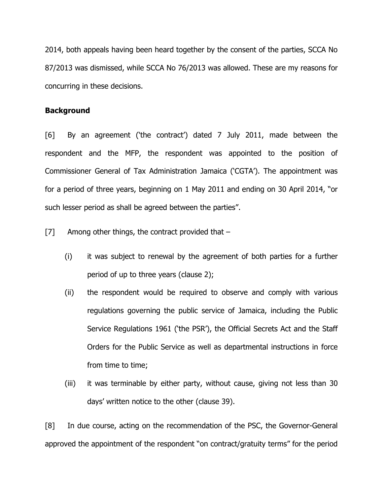2014, both appeals having been heard together by the consent of the parties, SCCA No 87/2013 was dismissed, while SCCA No 76/2013 was allowed. These are my reasons for concurring in these decisions.

### **Background**

[6] By an agreement ('the contract') dated 7 July 2011, made between the respondent and the MFP, the respondent was appointed to the position of Commissioner General of Tax Administration Jamaica ('CGTA'). The appointment was for a period of three years, beginning on 1 May 2011 and ending on 30 April 2014, "or such lesser period as shall be agreed between the parties".

 $[7]$  Among other things, the contract provided that  $-$ 

- (i) it was subject to renewal by the agreement of both parties for a further period of up to three years (clause 2);
- (ii) the respondent would be required to observe and comply with various regulations governing the public service of Jamaica, including the Public Service Regulations 1961 ('the PSR'), the Official Secrets Act and the Staff Orders for the Public Service as well as departmental instructions in force from time to time;
- (iii) it was terminable by either party, without cause, giving not less than 30 days' written notice to the other (clause 39).

[8] In due course, acting on the recommendation of the PSC, the Governor-General approved the appointment of the respondent "on contract/gratuity terms" for the period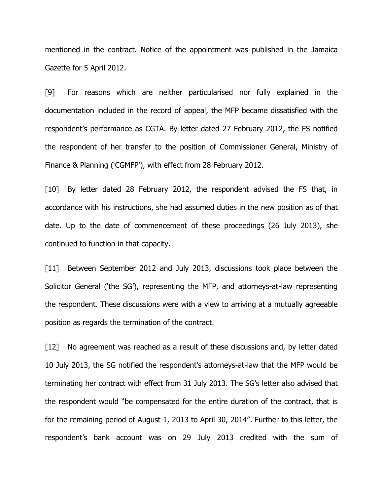mentioned in the contract. Notice of the appointment was published in the Jamaica Gazette for 5 April 2012.

[9] For reasons which are neither particularised nor fully explained in the documentation included in the record of appeal, the MFP became dissatisfied with the respondent's performance as CGTA. By letter dated 27 February 2012, the FS notified the respondent of her transfer to the position of Commissioner General, Ministry of Finance & Planning ('CGMFP'), with effect from 28 February 2012.

[10] By letter dated 28 February 2012, the respondent advised the FS that, in accordance with his instructions, she had assumed duties in the new position as of that date. Up to the date of commencement of these proceedings (26 July 2013), she continued to function in that capacity.

[11] Between September 2012 and July 2013, discussions took place between the Solicitor General ('the SG'), representing the MFP, and attorneys-at-law representing the respondent. These discussions were with a view to arriving at a mutually agreeable position as regards the termination of the contract.

[12] No agreement was reached as a result of these discussions and, by letter dated 10 July 2013, the SG notified the respondent's attorneys-at-law that the MFP would be terminating her contract with effect from 31 July 2013. The SG's letter also advised that the respondent would "be compensated for the entire duration of the contract, that is for the remaining period of August 1, 2013 to April 30, 2014". Further to this letter, the respondent's bank account was on 29 July 2013 credited with the sum of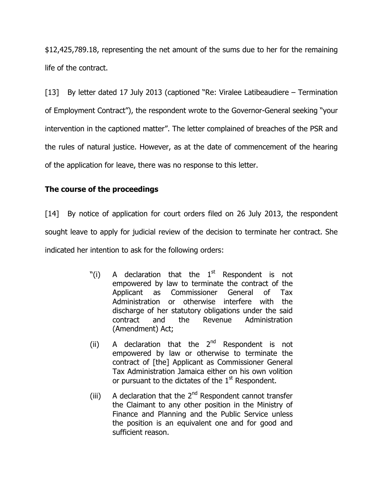\$12,425,789.18, representing the net amount of the sums due to her for the remaining life of the contract.

[13] By letter dated 17 July 2013 (captioned "Re: Viralee Latibeaudiere – Termination of Employment Contract"), the respondent wrote to the Governor-General seeking "your intervention in the captioned matter". The letter complained of breaches of the PSR and the rules of natural justice. However, as at the date of commencement of the hearing of the application for leave, there was no response to this letter.

# The course of the proceedings

[14] By notice of application for court orders filed on 26 July 2013, the respondent sought leave to apply for judicial review of the decision to terminate her contract. She indicated her intention to ask for the following orders:

- "(i) A declaration that the  $1<sup>st</sup>$  Respondent is not empowered by law to terminate the contract of the Applicant as Commissioner General of Tax Administration or otherwise interfere with the discharge of her statutory obligations under the said contract and the Revenue Administration (Amendment) Act;
- (ii) A declaration that the  $2^{nd}$  Respondent is not empowered by law or otherwise to terminate the contract of [the] Applicant as Commissioner General Tax Administration Jamaica either on his own volition or pursuant to the dictates of the  $1<sup>st</sup>$  Respondent.
- (iii) A declaration that the  $2<sup>nd</sup>$  Respondent cannot transfer the Claimant to any other position in the Ministry of Finance and Planning and the Public Service unless the position is an equivalent one and for good and sufficient reason.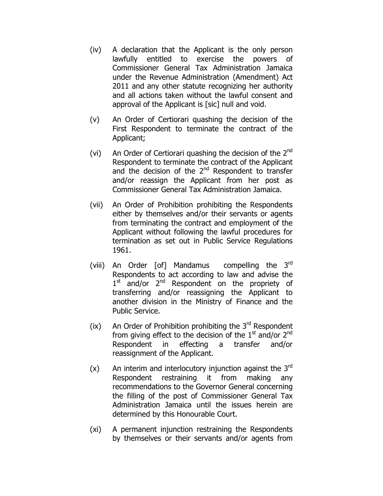- (iv) A declaration that the Applicant is the only person lawfully entitled to exercise the powers of Commissioner General Tax Administration Jamaica under the Revenue Administration (Amendment) Act 2011 and any other statute recognizing her authority and all actions taken without the lawful consent and approval of the Applicant is [sic] null and void.
- (v) An Order of Certiorari quashing the decision of the First Respondent to terminate the contract of the Applicant;
- (vi) An Order of Certiorari quashing the decision of the  $2<sup>nd</sup>$ Respondent to terminate the contract of the Applicant and the decision of the  $2<sup>nd</sup>$  Respondent to transfer and/or reassign the Applicant from her post as Commissioner General Tax Administration Jamaica.
- (vii) An Order of Prohibition prohibiting the Respondents either by themselves and/or their servants or agents from terminating the contract and employment of the Applicant without following the lawful procedures for termination as set out in Public Service Regulations 1961.
- (viii) An Order [of] Mandamus compelling the 3<sup>rd</sup> Respondents to act according to law and advise the 1<sup>st</sup> and/or 2<sup>nd</sup> Respondent on the propriety of transferring and/or reassigning the Applicant to another division in the Ministry of Finance and the Public Service.
- (ix) An Order of Prohibition prohibiting the  $3<sup>rd</sup>$  Respondent from giving effect to the decision of the  $1<sup>st</sup>$  and/or  $2<sup>nd</sup>$ Respondent in effecting a transfer and/or reassignment of the Applicant.
- $(x)$  An interim and interlocutory injunction against the 3<sup>rd</sup> Respondent restraining it from making any recommendations to the Governor General concerning the filling of the post of Commissioner General Tax Administration Jamaica until the issues herein are determined by this Honourable Court.
- (xi) A permanent injunction restraining the Respondents by themselves or their servants and/or agents from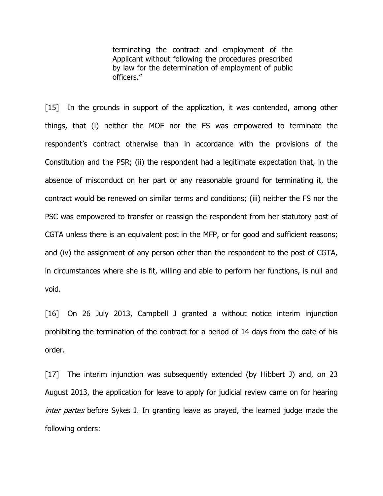terminating the contract and employment of the Applicant without following the procedures prescribed by law for the determination of employment of public officers."

[15] In the grounds in support of the application, it was contended, among other things, that (i) neither the MOF nor the FS was empowered to terminate the respondent's contract otherwise than in accordance with the provisions of the Constitution and the PSR; (ii) the respondent had a legitimate expectation that, in the absence of misconduct on her part or any reasonable ground for terminating it, the contract would be renewed on similar terms and conditions; (iii) neither the FS nor the PSC was empowered to transfer or reassign the respondent from her statutory post of CGTA unless there is an equivalent post in the MFP, or for good and sufficient reasons; and (iv) the assignment of any person other than the respondent to the post of CGTA, in circumstances where she is fit, willing and able to perform her functions, is null and void.

[16] On 26 July 2013, Campbell J granted a without notice interim injunction prohibiting the termination of the contract for a period of 14 days from the date of his order.

[17] The interim injunction was subsequently extended (by Hibbert J) and, on 23 August 2013, the application for leave to apply for judicial review came on for hearing inter partes before Sykes J. In granting leave as prayed, the learned judge made the following orders: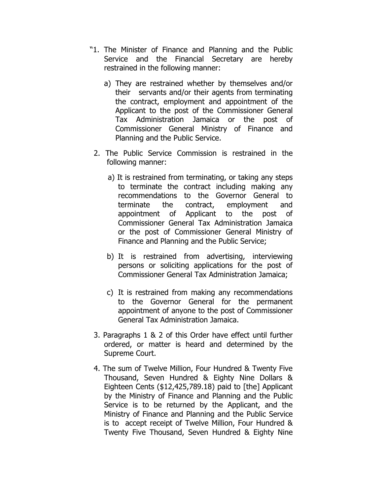- "1. The Minister of Finance and Planning and the Public Service and the Financial Secretary are hereby restrained in the following manner:
	- a) They are restrained whether by themselves and/or their servants and/or their agents from terminating the contract, employment and appointment of the Applicant to the post of the Commissioner General Tax Administration Jamaica or the post of Commissioner General Ministry of Finance and Planning and the Public Service.
- 2. The Public Service Commission is restrained in the following manner:
	- a) It is restrained from terminating, or taking any steps to terminate the contract including making any recommendations to the Governor General to terminate the contract, employment and appointment of Applicant to the post of Commissioner General Tax Administration Jamaica or the post of Commissioner General Ministry of Finance and Planning and the Public Service;
	- b) It is restrained from advertising, interviewing persons or soliciting applications for the post of Commissioner General Tax Administration Jamaica;
	- c) It is restrained from making any recommendations to the Governor General for the permanent appointment of anyone to the post of Commissioner General Tax Administration Jamaica.
- 3. Paragraphs 1 & 2 of this Order have effect until further ordered, or matter is heard and determined by the Supreme Court.
- 4. The sum of Twelve Million, Four Hundred & Twenty Five Thousand, Seven Hundred & Eighty Nine Dollars & Eighteen Cents (\$12,425,789.18) paid to [the] Applicant by the Ministry of Finance and Planning and the Public Service is to be returned by the Applicant, and the Ministry of Finance and Planning and the Public Service is to accept receipt of Twelve Million, Four Hundred & Twenty Five Thousand, Seven Hundred & Eighty Nine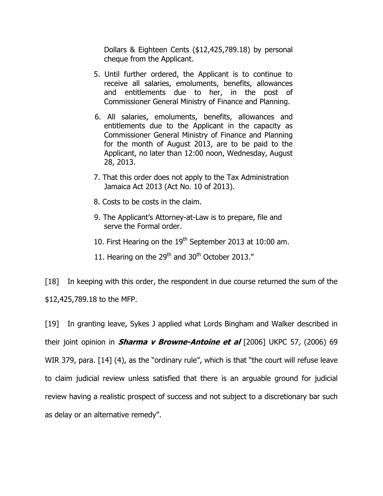Dollars & Eighteen Cents (\$12,425,789.18) by personal cheque from the Applicant.

- 5. Until further ordered, the Applicant is to continue to receive all salaries, emoluments, benefits, allowances and entitlements due to her, in the post of Commissioner General Ministry of Finance and Planning.
- 6. All salaries, emoluments, benefits, allowances and entitlements due to the Applicant in the capacity as Commissioner General Ministry of Finance and Planning for the month of August 2013, are to be paid to the Applicant, no later than 12:00 noon, Wednesday, August 28, 2013.
- 7. That this order does not apply to the Tax Administration Jamaica Act 2013 (Act No. 10 of 2013).
- 8. Costs to be costs in the claim.
- 9. The Applicant's Attorney-at-Law is to prepare, file and serve the Formal order.
- 10. First Hearing on the  $19<sup>th</sup>$  September 2013 at 10:00 am.
- 11. Hearing on the  $29<sup>th</sup>$  and  $30<sup>th</sup>$  October 2013."

[18] In keeping with this order, the respondent in due course returned the sum of the \$12,425,789.18 to the MFP.

[19] In granting leave, Sykes J applied what Lords Bingham and Walker described in their joint opinion in *Sharma v Browne-Antoine et al*  $[2006]$  UKPC 57,  $(2006)$  69 WIR 379, para. [14] (4), as the "ordinary rule", which is that "the court will refuse leave to claim judicial review unless satisfied that there is an arguable ground for judicial review having a realistic prospect of success and not subject to a discretionary bar such as delay or an alternative remedy".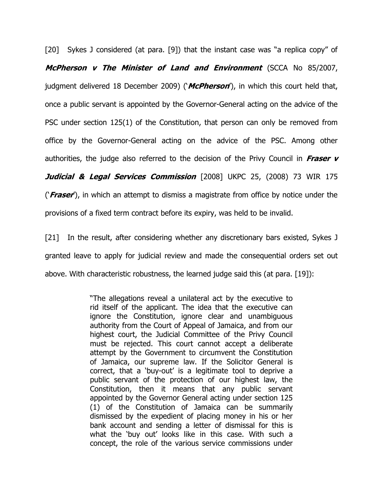[20] Sykes J considered (at para. [9]) that the instant case was "a replica copy" of McPherson v The Minister of Land and Environment (SCCA No 85/2007, judgment delivered 18 December 2009) ('*McPherson'*), in which this court held that, once a public servant is appointed by the Governor-General acting on the advice of the PSC under section 125(1) of the Constitution, that person can only be removed from office by the Governor-General acting on the advice of the PSC. Among other authorities, the judge also referred to the decision of the Privy Council in Fraser  $\bf{v}$ Judicial & Legal Services Commission [2008] UKPC 25, (2008) 73 WIR 175 ('Fraser'), in which an attempt to dismiss a magistrate from office by notice under the provisions of a fixed term contract before its expiry, was held to be invalid.

[21] In the result, after considering whether any discretionary bars existed, Sykes J granted leave to apply for judicial review and made the consequential orders set out above. With characteristic robustness, the learned judge said this (at para. [19]):

> "The allegations reveal a unilateral act by the executive to rid itself of the applicant. The idea that the executive can ignore the Constitution, ignore clear and unambiguous authority from the Court of Appeal of Jamaica, and from our highest court, the Judicial Committee of the Privy Council must be rejected. This court cannot accept a deliberate attempt by the Government to circumvent the Constitution of Jamaica, our supreme law. If the Solicitor General is correct, that a 'buy-out' is a legitimate tool to deprive a public servant of the protection of our highest law, the Constitution, then it means that any public servant appointed by the Governor General acting under section 125 (1) of the Constitution of Jamaica can be summarily dismissed by the expedient of placing money in his or her bank account and sending a letter of dismissal for this is what the 'buy out' looks like in this case. With such a concept, the role of the various service commissions under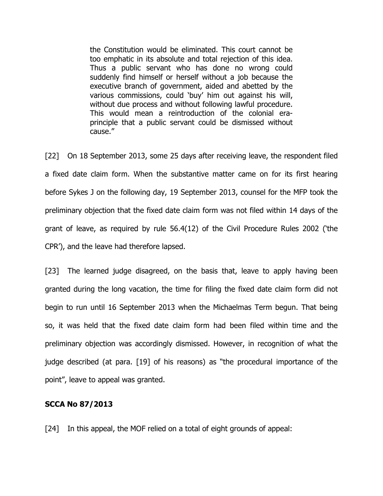the Constitution would be eliminated. This court cannot be too emphatic in its absolute and total rejection of this idea. Thus a public servant who has done no wrong could suddenly find himself or herself without a job because the executive branch of government, aided and abetted by the various commissions, could 'buy' him out against his will, without due process and without following lawful procedure. This would mean a reintroduction of the colonial eraprinciple that a public servant could be dismissed without cause."

[22] On 18 September 2013, some 25 days after receiving leave, the respondent filed a fixed date claim form. When the substantive matter came on for its first hearing before Sykes J on the following day, 19 September 2013, counsel for the MFP took the preliminary objection that the fixed date claim form was not filed within 14 days of the grant of leave, as required by rule 56.4(12) of the Civil Procedure Rules 2002 ('the CPR'), and the leave had therefore lapsed.

[23] The learned judge disagreed, on the basis that, leave to apply having been granted during the long vacation, the time for filing the fixed date claim form did not begin to run until 16 September 2013 when the Michaelmas Term begun. That being so, it was held that the fixed date claim form had been filed within time and the preliminary objection was accordingly dismissed. However, in recognition of what the judge described (at para. [19] of his reasons) as "the procedural importance of the point", leave to appeal was granted.

# SCCA No 87/2013

[24] In this appeal, the MOF relied on a total of eight grounds of appeal: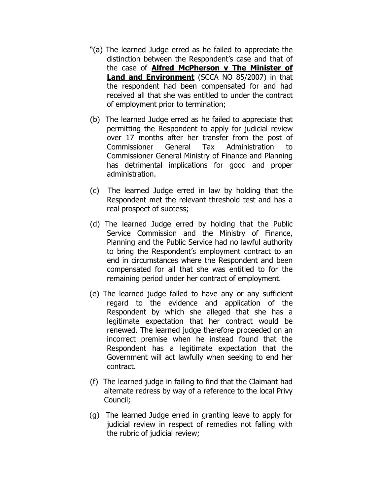- "(a) The learned Judge erred as he failed to appreciate the distinction between the Respondent's case and that of the case of Alfred McPherson v The Minister of Land and Environment (SCCA NO 85/2007) in that the respondent had been compensated for and had received all that she was entitled to under the contract of employment prior to termination;
- (b) The learned Judge erred as he failed to appreciate that permitting the Respondent to apply for judicial review over 17 months after her transfer from the post of Commissioner General Tax Administration to Commissioner General Ministry of Finance and Planning has detrimental implications for good and proper administration.
- (c) The learned Judge erred in law by holding that the Respondent met the relevant threshold test and has a real prospect of success;
- (d) The learned Judge erred by holding that the Public Service Commission and the Ministry of Finance, Planning and the Public Service had no lawful authority to bring the Respondent's employment contract to an end in circumstances where the Respondent and been compensated for all that she was entitled to for the remaining period under her contract of employment.
- (e) The learned judge failed to have any or any sufficient regard to the evidence and application of the Respondent by which she alleged that she has a legitimate expectation that her contract would be renewed. The learned judge therefore proceeded on an incorrect premise when he instead found that the Respondent has a legitimate expectation that the Government will act lawfully when seeking to end her contract.
- (f) The learned judge in failing to find that the Claimant had alternate redress by way of a reference to the local Privy Council;
- (g) The learned Judge erred in granting leave to apply for judicial review in respect of remedies not falling with the rubric of judicial review;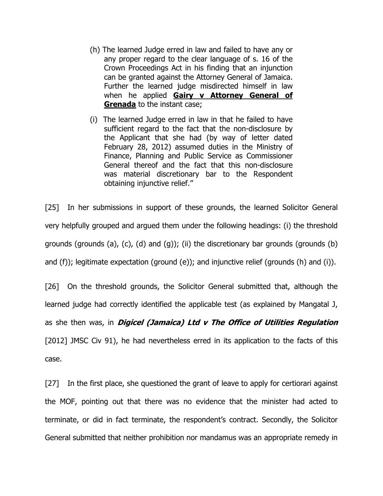- (h) The learned Judge erred in law and failed to have any or any proper regard to the clear language of s. 16 of the Crown Proceedings Act in his finding that an injunction can be granted against the Attorney General of Jamaica. Further the learned judge misdirected himself in law when he applied Gairy v Attorney General of Grenada to the instant case;
- (i) The learned Judge erred in law in that he failed to have sufficient regard to the fact that the non-disclosure by the Applicant that she had (by way of letter dated February 28, 2012) assumed duties in the Ministry of Finance, Planning and Public Service as Commissioner General thereof and the fact that this non-disclosure was material discretionary bar to the Respondent obtaining injunctive relief."

[25] In her submissions in support of these grounds, the learned Solicitor General very helpfully grouped and argued them under the following headings: (i) the threshold grounds (grounds (a), (c), (d) and (g)); (ii) the discretionary bar grounds (grounds (b) and (f)); legitimate expectation (ground (e)); and injunctive relief (grounds (h) and (i)).

[26] On the threshold grounds, the Solicitor General submitted that, although the learned judge had correctly identified the applicable test (as explained by Mangatal J, as she then was, in *Digicel (Jamaica) Ltd v The Office of Utilities Regulation* [2012] JMSC Civ 91), he had nevertheless erred in its application to the facts of this case.

[27] In the first place, she questioned the grant of leave to apply for certiorari against the MOF, pointing out that there was no evidence that the minister had acted to terminate, or did in fact terminate, the respondent's contract. Secondly, the Solicitor General submitted that neither prohibition nor mandamus was an appropriate remedy in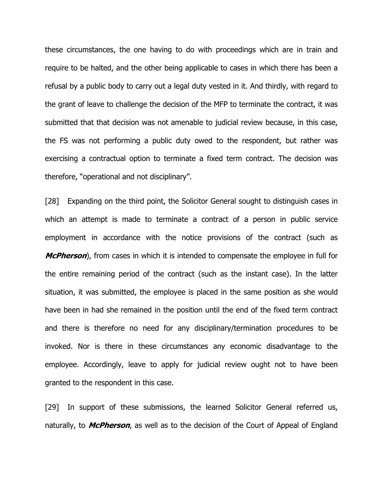these circumstances, the one having to do with proceedings which are in train and require to be halted, and the other being applicable to cases in which there has been a refusal by a public body to carry out a legal duty vested in it. And thirdly, with regard to the grant of leave to challenge the decision of the MFP to terminate the contract, it was submitted that that decision was not amenable to judicial review because, in this case, the FS was not performing a public duty owed to the respondent, but rather was exercising a contractual option to terminate a fixed term contract. The decision was therefore, "operational and not disciplinary".

[28] Expanding on the third point, the Solicitor General sought to distinguish cases in which an attempt is made to terminate a contract of a person in public service employment in accordance with the notice provisions of the contract (such as **McPherson**), from cases in which it is intended to compensate the employee in full for the entire remaining period of the contract (such as the instant case). In the latter situation, it was submitted, the employee is placed in the same position as she would have been in had she remained in the position until the end of the fixed term contract and there is therefore no need for any disciplinary/termination procedures to be invoked. Nor is there in these circumstances any economic disadvantage to the employee. Accordingly, leave to apply for judicial review ought not to have been granted to the respondent in this case.

[29] In support of these submissions, the learned Solicitor General referred us, naturally, to **McPherson**, as well as to the decision of the Court of Appeal of England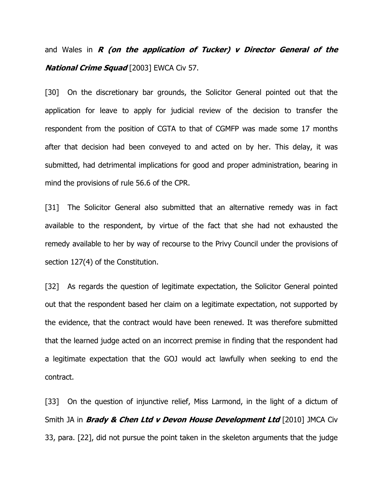and Wales in  $R$  (on the application of Tucker)  $v$  Director General of the **National Crime Squad** [2003] EWCA Civ 57.

[30] On the discretionary bar grounds, the Solicitor General pointed out that the application for leave to apply for judicial review of the decision to transfer the respondent from the position of CGTA to that of CGMFP was made some 17 months after that decision had been conveyed to and acted on by her. This delay, it was submitted, had detrimental implications for good and proper administration, bearing in mind the provisions of rule 56.6 of the CPR.

[31] The Solicitor General also submitted that an alternative remedy was in fact available to the respondent, by virtue of the fact that she had not exhausted the remedy available to her by way of recourse to the Privy Council under the provisions of section 127(4) of the Constitution.

[32] As regards the question of legitimate expectation, the Solicitor General pointed out that the respondent based her claim on a legitimate expectation, not supported by the evidence, that the contract would have been renewed. It was therefore submitted that the learned judge acted on an incorrect premise in finding that the respondent had a legitimate expectation that the GOJ would act lawfully when seeking to end the contract.

[33] On the question of injunctive relief, Miss Larmond, in the light of a dictum of Smith JA in **Brady & Chen Ltd v Devon House Development Ltd** [2010] JMCA Civ 33, para. [22], did not pursue the point taken in the skeleton arguments that the judge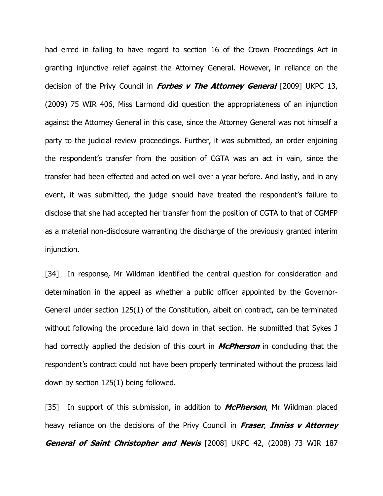had erred in failing to have regard to section 16 of the Crown Proceedings Act in granting injunctive relief against the Attorney General. However, in reliance on the decision of the Privy Council in **Forbes v The Attorney General** [2009] UKPC 13, (2009) 75 WIR 406, Miss Larmond did question the appropriateness of an injunction against the Attorney General in this case, since the Attorney General was not himself a party to the judicial review proceedings. Further, it was submitted, an order enjoining the respondent's transfer from the position of CGTA was an act in vain, since the transfer had been effected and acted on well over a year before. And lastly, and in any event, it was submitted, the judge should have treated the respondent's failure to disclose that she had accepted her transfer from the position of CGTA to that of CGMFP as a material non-disclosure warranting the discharge of the previously granted interim injunction.

[34] In response, Mr Wildman identified the central question for consideration and determination in the appeal as whether a public officer appointed by the Governor-General under section 125(1) of the Constitution, albeit on contract, can be terminated without following the procedure laid down in that section. He submitted that Sykes J had correctly applied the decision of this court in **McPherson** in concluding that the respondent's contract could not have been properly terminated without the process laid down by section 125(1) being followed.

[35] In support of this submission, in addition to **McPherson**, Mr Wildman placed heavy reliance on the decisions of the Privy Council in Fraser, Inniss v Attorney General of Saint Christopher and Nevis [2008] UKPC 42, (2008) 73 WIR 187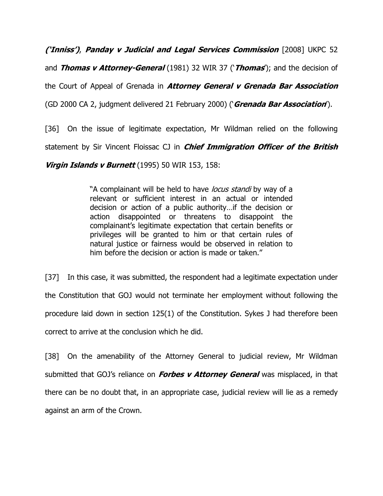('Inniss'), Panday v Judicial and Legal Services Commission [2008] UKPC 52

and **Thomas v Attorney-General** (1981) 32 WIR 37 ('**Thomas'**); and the decision of

the Court of Appeal of Grenada in **Attorney General v Grenada Bar Association** 

(GD 2000 CA 2, judgment delivered 21 February 2000) ('Grenada Bar Association').

[36] On the issue of legitimate expectation, Mr Wildman relied on the following

statement by Sir Vincent Floissac CJ in *Chief Immigration Officer of the British* 

Virgin Islands v Burnett (1995) 50 WIR 153, 158:

"A complainant will be held to have *locus standi* by way of a relevant or sufficient interest in an actual or intended decision or action of a public authority…if the decision or action disappointed or threatens to disappoint the complainant's legitimate expectation that certain benefits or privileges will be granted to him or that certain rules of natural justice or fairness would be observed in relation to him before the decision or action is made or taken."

[37] In this case, it was submitted, the respondent had a legitimate expectation under the Constitution that GOJ would not terminate her employment without following the procedure laid down in section 125(1) of the Constitution. Sykes J had therefore been correct to arrive at the conclusion which he did.

[38] On the amenability of the Attorney General to judicial review, Mr Wildman submitted that GOJ's reliance on **Forbes v Attorney General** was misplaced, in that there can be no doubt that, in an appropriate case, judicial review will lie as a remedy against an arm of the Crown.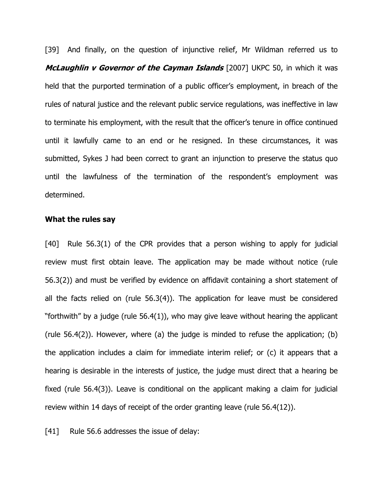[39] And finally, on the question of injunctive relief, Mr Wildman referred us to McLaughlin v Governor of the Cayman Islands [2007] UKPC 50, in which it was held that the purported termination of a public officer's employment, in breach of the rules of natural justice and the relevant public service regulations, was ineffective in law to terminate his employment, with the result that the officer's tenure in office continued until it lawfully came to an end or he resigned. In these circumstances, it was submitted, Sykes J had been correct to grant an injunction to preserve the status quo until the lawfulness of the termination of the respondent's employment was determined.

# What the rules say

[40] Rule 56.3(1) of the CPR provides that a person wishing to apply for judicial review must first obtain leave. The application may be made without notice (rule 56.3(2)) and must be verified by evidence on affidavit containing a short statement of all the facts relied on (rule 56.3(4)). The application for leave must be considered "forthwith" by a judge (rule 56.4(1)), who may give leave without hearing the applicant (rule 56.4(2)). However, where (a) the judge is minded to refuse the application; (b) the application includes a claim for immediate interim relief; or (c) it appears that a hearing is desirable in the interests of justice, the judge must direct that a hearing be fixed (rule 56.4(3)). Leave is conditional on the applicant making a claim for judicial review within 14 days of receipt of the order granting leave (rule 56.4(12)).

[41] Rule 56.6 addresses the issue of delay: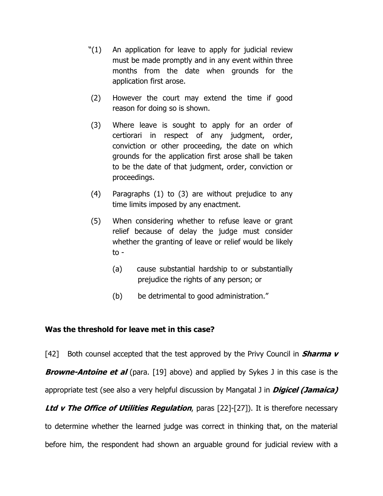- "(1) An application for leave to apply for judicial review must be made promptly and in any event within three months from the date when grounds for the application first arose.
- (2) However the court may extend the time if good reason for doing so is shown.
- (3) Where leave is sought to apply for an order of certiorari in respect of any judgment, order, conviction or other proceeding, the date on which grounds for the application first arose shall be taken to be the date of that judgment, order, conviction or proceedings.
- (4) Paragraphs (1) to (3) are without prejudice to any time limits imposed by any enactment.
- (5) When considering whether to refuse leave or grant relief because of delay the judge must consider whether the granting of leave or relief would be likely to -
	- (a) cause substantial hardship to or substantially prejudice the rights of any person; or
	- (b) be detrimental to good administration."

# Was the threshold for leave met in this case?

[42] Both counsel accepted that the test approved by the Privy Council in **Sharma v Browne-Antoine et al** (para. [19] above) and applied by Sykes J in this case is the appropriate test (see also a very helpful discussion by Mangatal J in **Digicel (Jamaica)** Ltd v The Office of Utilities Regulation, paras  $[22]-[27]$ ). It is therefore necessary to determine whether the learned judge was correct in thinking that, on the material before him, the respondent had shown an arguable ground for judicial review with a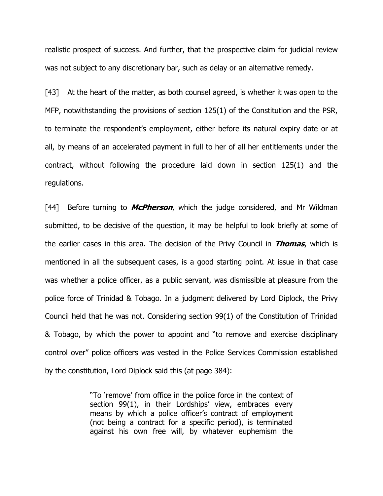realistic prospect of success. And further, that the prospective claim for judicial review was not subject to any discretionary bar, such as delay or an alternative remedy.

[43] At the heart of the matter, as both counsel agreed, is whether it was open to the MFP, notwithstanding the provisions of section 125(1) of the Constitution and the PSR, to terminate the respondent's employment, either before its natural expiry date or at all, by means of an accelerated payment in full to her of all her entitlements under the contract, without following the procedure laid down in section 125(1) and the regulations.

[44] Before turning to *McPherson*, which the judge considered, and Mr Wildman submitted, to be decisive of the question, it may be helpful to look briefly at some of the earlier cases in this area. The decision of the Privy Council in *Thomas*, which is mentioned in all the subsequent cases, is a good starting point. At issue in that case was whether a police officer, as a public servant, was dismissible at pleasure from the police force of Trinidad & Tobago. In a judgment delivered by Lord Diplock, the Privy Council held that he was not. Considering section 99(1) of the Constitution of Trinidad & Tobago, by which the power to appoint and "to remove and exercise disciplinary control over" police officers was vested in the Police Services Commission established by the constitution, Lord Diplock said this (at page 384):

> "To 'remove' from office in the police force in the context of section 99(1), in their Lordships' view, embraces every means by which a police officer's contract of employment (not being a contract for a specific period), is terminated against his own free will, by whatever euphemism the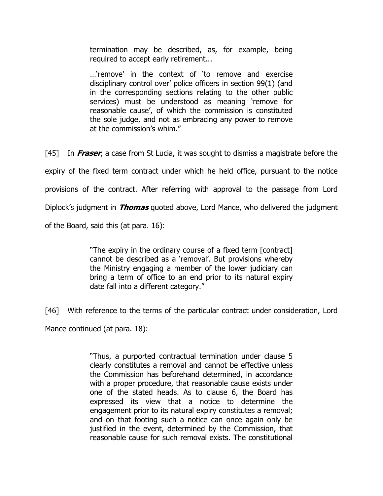termination may be described, as, for example, being required to accept early retirement...

…'remove' in the context of 'to remove and exercise disciplinary control over' police officers in section 99(1) (and in the corresponding sections relating to the other public services) must be understood as meaning 'remove for reasonable cause', of which the commission is constituted the sole judge, and not as embracing any power to remove at the commission's whim."

[45] In Fraser, a case from St Lucia, it was sought to dismiss a magistrate before the expiry of the fixed term contract under which he held office, pursuant to the notice provisions of the contract. After referring with approval to the passage from Lord Diplock's judgment in *Thomas* quoted above, Lord Mance, who delivered the judgment of the Board, said this (at para. 16):

> "The expiry in the ordinary course of a fixed term [contract] cannot be described as a 'removal'. But provisions whereby the Ministry engaging a member of the lower judiciary can bring a term of office to an end prior to its natural expiry date fall into a different category."

[46] With reference to the terms of the particular contract under consideration, Lord Mance continued (at para. 18):

> "Thus, a purported contractual termination under clause 5 clearly constitutes a removal and cannot be effective unless the Commission has beforehand determined, in accordance with a proper procedure, that reasonable cause exists under one of the stated heads. As to clause 6, the Board has expressed its view that a notice to determine the engagement prior to its natural expiry constitutes a removal; and on that footing such a notice can once again only be justified in the event, determined by the Commission, that reasonable cause for such removal exists. The constitutional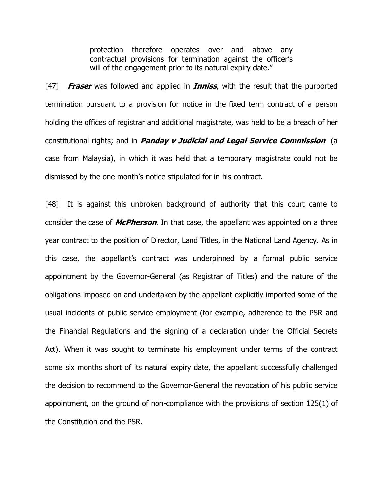protection therefore operates over and above any contractual provisions for termination against the officer's will of the engagement prior to its natural expiry date."

[47] **Fraser** was followed and applied in **Inniss**, with the result that the purported termination pursuant to a provision for notice in the fixed term contract of a person holding the offices of registrar and additional magistrate, was held to be a breach of her constitutional rights; and in *Panday v Judicial and Legal Service Commission* (a case from Malaysia), in which it was held that a temporary magistrate could not be dismissed by the one month's notice stipulated for in his contract.

[48] It is against this unbroken background of authority that this court came to consider the case of *McPherson*. In that case, the appellant was appointed on a three year contract to the position of Director, Land Titles, in the National Land Agency. As in this case, the appellant's contract was underpinned by a formal public service appointment by the Governor-General (as Registrar of Titles) and the nature of the obligations imposed on and undertaken by the appellant explicitly imported some of the usual incidents of public service employment (for example, adherence to the PSR and the Financial Regulations and the signing of a declaration under the Official Secrets Act). When it was sought to terminate his employment under terms of the contract some six months short of its natural expiry date, the appellant successfully challenged the decision to recommend to the Governor-General the revocation of his public service appointment, on the ground of non-compliance with the provisions of section 125(1) of the Constitution and the PSR.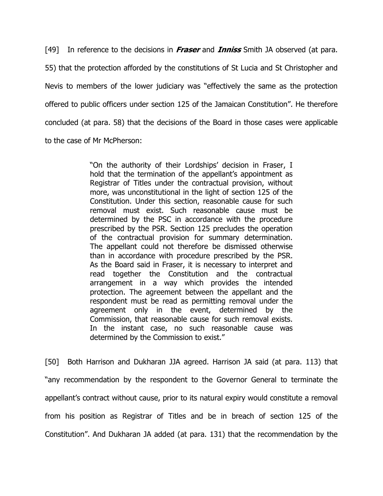[49] In reference to the decisions in *Fraser* and *Inniss* Smith JA observed (at para. 55) that the protection afforded by the constitutions of St Lucia and St Christopher and Nevis to members of the lower judiciary was "effectively the same as the protection offered to public officers under section 125 of the Jamaican Constitution". He therefore concluded (at para. 58) that the decisions of the Board in those cases were applicable to the case of Mr McPherson:

> "On the authority of their Lordships' decision in Fraser, I hold that the termination of the appellant's appointment as Registrar of Titles under the contractual provision, without more, was unconstitutional in the light of section 125 of the Constitution. Under this section, reasonable cause for such removal must exist. Such reasonable cause must be determined by the PSC in accordance with the procedure prescribed by the PSR. Section 125 precludes the operation of the contractual provision for summary determination. The appellant could not therefore be dismissed otherwise than in accordance with procedure prescribed by the PSR. As the Board said in Fraser, it is necessary to interpret and read together the Constitution and the contractual arrangement in a way which provides the intended protection. The agreement between the appellant and the respondent must be read as permitting removal under the agreement only in the event, determined by the Commission, that reasonable cause for such removal exists. In the instant case, no such reasonable cause was determined by the Commission to exist."

[50] Both Harrison and Dukharan JJA agreed. Harrison JA said (at para. 113) that "any recommendation by the respondent to the Governor General to terminate the appellant's contract without cause, prior to its natural expiry would constitute a removal from his position as Registrar of Titles and be in breach of section 125 of the Constitution". And Dukharan JA added (at para. 131) that the recommendation by the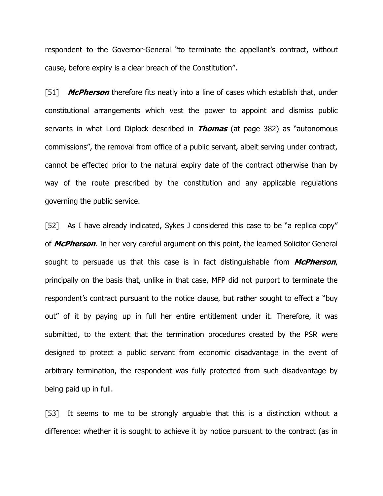respondent to the Governor-General "to terminate the appellant's contract, without cause, before expiry is a clear breach of the Constitution".

[51] **McPherson** therefore fits neatly into a line of cases which establish that, under constitutional arrangements which vest the power to appoint and dismiss public servants in what Lord Diplock described in **Thomas** (at page 382) as "autonomous commissions", the removal from office of a public servant, albeit serving under contract, cannot be effected prior to the natural expiry date of the contract otherwise than by way of the route prescribed by the constitution and any applicable regulations governing the public service.

[52] As I have already indicated, Sykes J considered this case to be "a replica copy" of **McPherson**. In her very careful argument on this point, the learned Solicitor General sought to persuade us that this case is in fact distinguishable from  $McPherson$ , principally on the basis that, unlike in that case, MFP did not purport to terminate the respondent's contract pursuant to the notice clause, but rather sought to effect a "buy out" of it by paying up in full her entire entitlement under it. Therefore, it was submitted, to the extent that the termination procedures created by the PSR were designed to protect a public servant from economic disadvantage in the event of arbitrary termination, the respondent was fully protected from such disadvantage by being paid up in full.

[53] It seems to me to be strongly arguable that this is a distinction without a difference: whether it is sought to achieve it by notice pursuant to the contract (as in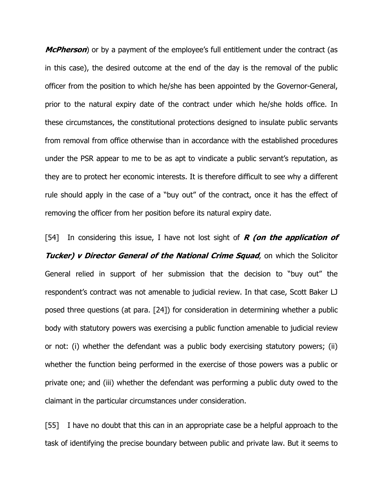**McPherson**) or by a payment of the employee's full entitlement under the contract (as in this case), the desired outcome at the end of the day is the removal of the public officer from the position to which he/she has been appointed by the Governor-General, prior to the natural expiry date of the contract under which he/she holds office. In these circumstances, the constitutional protections designed to insulate public servants from removal from office otherwise than in accordance with the established procedures under the PSR appear to me to be as apt to vindicate a public servant's reputation, as they are to protect her economic interests. It is therefore difficult to see why a different rule should apply in the case of a "buy out" of the contract, once it has the effect of removing the officer from her position before its natural expiry date.

[54] In considering this issue, I have not lost sight of  $R$  (on the application of **Tucker) v Director General of the National Crime Squad, on which the Solicitor** General relied in support of her submission that the decision to "buy out" the respondent's contract was not amenable to judicial review. In that case, Scott Baker LJ posed three questions (at para. [24]) for consideration in determining whether a public body with statutory powers was exercising a public function amenable to judicial review or not: (i) whether the defendant was a public body exercising statutory powers; (ii) whether the function being performed in the exercise of those powers was a public or private one; and (iii) whether the defendant was performing a public duty owed to the claimant in the particular circumstances under consideration.

[55] I have no doubt that this can in an appropriate case be a helpful approach to the task of identifying the precise boundary between public and private law. But it seems to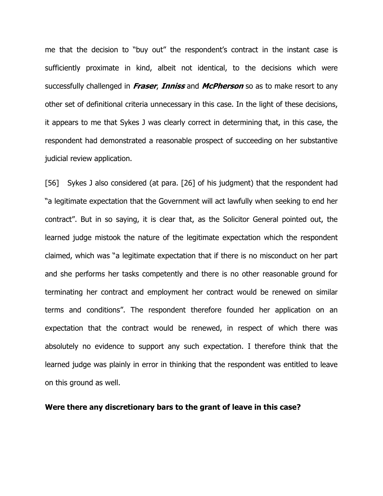me that the decision to "buy out" the respondent's contract in the instant case is sufficiently proximate in kind, albeit not identical, to the decisions which were successfully challenged in *Fraser, Inniss* and *McPherson* so as to make resort to any other set of definitional criteria unnecessary in this case. In the light of these decisions, it appears to me that Sykes J was clearly correct in determining that, in this case, the respondent had demonstrated a reasonable prospect of succeeding on her substantive judicial review application.

[56] Sykes J also considered (at para. [26] of his judgment) that the respondent had "a legitimate expectation that the Government will act lawfully when seeking to end her contract". But in so saying, it is clear that, as the Solicitor General pointed out, the learned judge mistook the nature of the legitimate expectation which the respondent claimed, which was "a legitimate expectation that if there is no misconduct on her part and she performs her tasks competently and there is no other reasonable ground for terminating her contract and employment her contract would be renewed on similar terms and conditions". The respondent therefore founded her application on an expectation that the contract would be renewed, in respect of which there was absolutely no evidence to support any such expectation. I therefore think that the learned judge was plainly in error in thinking that the respondent was entitled to leave on this ground as well.

Were there any discretionary bars to the grant of leave in this case?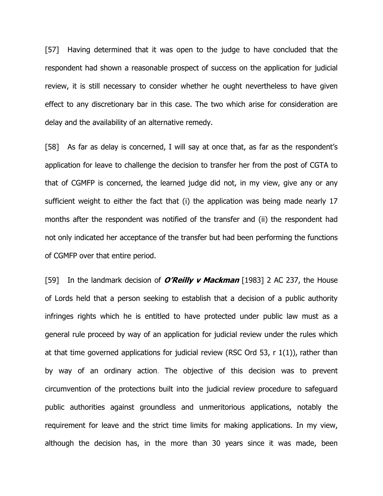[57] Having determined that it was open to the judge to have concluded that the respondent had shown a reasonable prospect of success on the application for judicial review, it is still necessary to consider whether he ought nevertheless to have given effect to any discretionary bar in this case. The two which arise for consideration are delay and the availability of an alternative remedy.

[58] As far as delay is concerned, I will say at once that, as far as the respondent's application for leave to challenge the decision to transfer her from the post of CGTA to that of CGMFP is concerned, the learned judge did not, in my view, give any or any sufficient weight to either the fact that (i) the application was being made nearly 17 months after the respondent was notified of the transfer and (ii) the respondent had not only indicated her acceptance of the transfer but had been performing the functions of CGMFP over that entire period.

[59] In the landmark decision of **O'Reilly v Mackman** [1983] 2 AC 237, the House of Lords held that a person seeking to establish that a decision of a public authority infringes rights which he is entitled to have protected under public law must as a general rule proceed by way of an application for judicial review under the rules which at that time governed applications for judicial review (RSC Ord 53, r 1(1)), rather than by way of an ordinary action. The objective of this decision was to prevent circumvention of the protections built into the judicial review procedure to safeguard public authorities against groundless and unmeritorious applications, notably the requirement for leave and the strict time limits for making applications. In my view, although the decision has, in the more than 30 years since it was made, been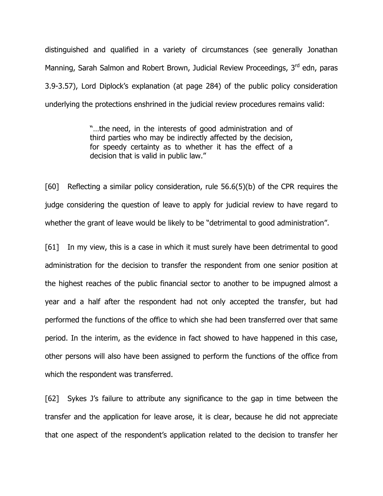distinguished and qualified in a variety of circumstances (see generally Jonathan Manning, Sarah Salmon and Robert Brown, Judicial Review Proceedings, 3<sup>rd</sup> edn, paras 3.9-3.57), Lord Diplock's explanation (at page 284) of the public policy consideration underlying the protections enshrined in the judicial review procedures remains valid:

> "…the need, in the interests of good administration and of third parties who may be indirectly affected by the decision, for speedy certainty as to whether it has the effect of a decision that is valid in public law."

[60] Reflecting a similar policy consideration, rule 56.6(5)(b) of the CPR requires the judge considering the question of leave to apply for judicial review to have regard to whether the grant of leave would be likely to be "detrimental to good administration".

[61] In my view, this is a case in which it must surely have been detrimental to good administration for the decision to transfer the respondent from one senior position at the highest reaches of the public financial sector to another to be impugned almost a year and a half after the respondent had not only accepted the transfer, but had performed the functions of the office to which she had been transferred over that same period. In the interim, as the evidence in fact showed to have happened in this case, other persons will also have been assigned to perform the functions of the office from which the respondent was transferred.

[62] Sykes J's failure to attribute any significance to the gap in time between the transfer and the application for leave arose, it is clear, because he did not appreciate that one aspect of the respondent's application related to the decision to transfer her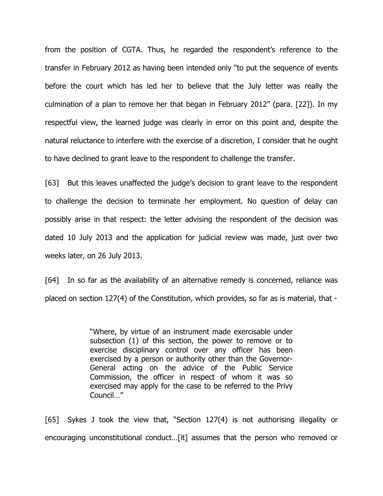from the position of CGTA. Thus, he regarded the respondent's reference to the transfer in February 2012 as having been intended only "to put the sequence of events before the court which has led her to believe that the July letter was really the culmination of a plan to remove her that began in February 2012" (para. [22]). In my respectful view, the learned judge was clearly in error on this point and, despite the natural reluctance to interfere with the exercise of a discretion, I consider that he ought to have declined to grant leave to the respondent to challenge the transfer.

[63] But this leaves unaffected the judge's decision to grant leave to the respondent to challenge the decision to terminate her employment. No question of delay can possibly arise in that respect: the letter advising the respondent of the decision was dated 10 July 2013 and the application for judicial review was made, just over two weeks later, on 26 July 2013.

[64] In so far as the availability of an alternative remedy is concerned, reliance was placed on section 127(4) of the Constitution, which provides, so far as is material, that -

> "Where, by virtue of an instrument made exercisable under subsection (1) of this section, the power to remove or to exercise disciplinary control over any officer has been exercised by a person or authority other than the Governor-General acting on the advice of the Public Service Commission, the officer in respect of whom it was so exercised may apply for the case to be referred to the Privy Council…"

[65] Sykes J took the view that, "Section 127(4) is not authorising illegality or encouraging unconstitutional conduct…[it] assumes that the person who removed or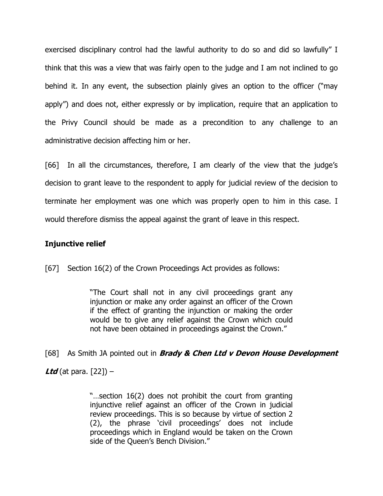exercised disciplinary control had the lawful authority to do so and did so lawfully" I think that this was a view that was fairly open to the judge and I am not inclined to go behind it. In any event, the subsection plainly gives an option to the officer ("may apply") and does not, either expressly or by implication, require that an application to the Privy Council should be made as a precondition to any challenge to an administrative decision affecting him or her.

[66] In all the circumstances, therefore, I am clearly of the view that the judge's decision to grant leave to the respondent to apply for judicial review of the decision to terminate her employment was one which was properly open to him in this case. I would therefore dismiss the appeal against the grant of leave in this respect.

# Injunctive relief

[67] Section 16(2) of the Crown Proceedings Act provides as follows:

"The Court shall not in any civil proceedings grant any injunction or make any order against an officer of the Crown if the effect of granting the injunction or making the order would be to give any relief against the Crown which could not have been obtained in proceedings against the Crown."

[68] As Smith JA pointed out in **Brady & Chen Ltd v Devon House Development** Ltd (at para.  $[22]$ ) –

> "…section 16(2) does not prohibit the court from granting injunctive relief against an officer of the Crown in judicial review proceedings. This is so because by virtue of section 2 (2), the phrase 'civil proceedings' does not include proceedings which in England would be taken on the Crown side of the Queen's Bench Division."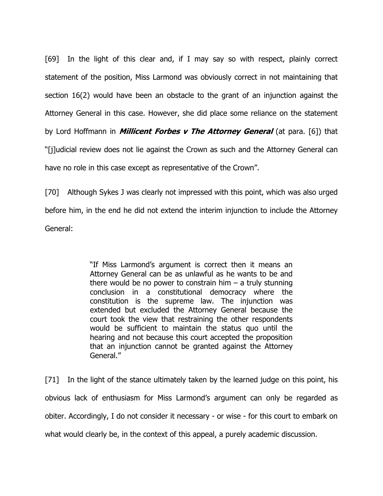[69] In the light of this clear and, if I may say so with respect, plainly correct statement of the position, Miss Larmond was obviously correct in not maintaining that section 16(2) would have been an obstacle to the grant of an injunction against the Attorney General in this case. However, she did place some reliance on the statement by Lord Hoffmann in *Millicent Forbes v The Attorney General* (at para. [6]) that "[j]udicial review does not lie against the Crown as such and the Attorney General can have no role in this case except as representative of the Crown".

[70] Although Sykes J was clearly not impressed with this point, which was also urged before him, in the end he did not extend the interim injunction to include the Attorney General:

> "If Miss Larmond's argument is correct then it means an Attorney General can be as unlawful as he wants to be and there would be no power to constrain him  $-$  a truly stunning conclusion in a constitutional democracy where the constitution is the supreme law. The injunction was extended but excluded the Attorney General because the court took the view that restraining the other respondents would be sufficient to maintain the status quo until the hearing and not because this court accepted the proposition that an injunction cannot be granted against the Attorney General."

[71] In the light of the stance ultimately taken by the learned judge on this point, his obvious lack of enthusiasm for Miss Larmond's argument can only be regarded as obiter. Accordingly, I do not consider it necessary - or wise - for this court to embark on what would clearly be, in the context of this appeal, a purely academic discussion.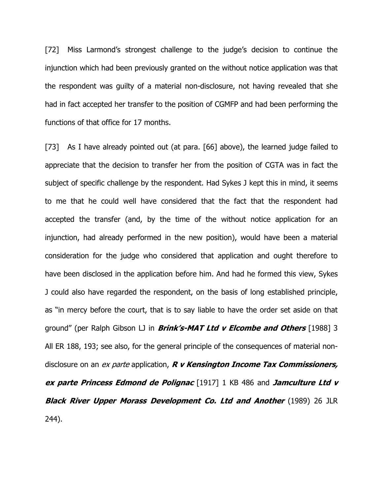[72] Miss Larmond's strongest challenge to the judge's decision to continue the injunction which had been previously granted on the without notice application was that the respondent was guilty of a material non-disclosure, not having revealed that she had in fact accepted her transfer to the position of CGMFP and had been performing the functions of that office for 17 months.

[73] As I have already pointed out (at para. [66] above), the learned judge failed to appreciate that the decision to transfer her from the position of CGTA was in fact the subject of specific challenge by the respondent. Had Sykes J kept this in mind, it seems to me that he could well have considered that the fact that the respondent had accepted the transfer (and, by the time of the without notice application for an injunction, had already performed in the new position), would have been a material consideration for the judge who considered that application and ought therefore to have been disclosed in the application before him. And had he formed this view, Sykes J could also have regarded the respondent, on the basis of long established principle, as "in mercy before the court, that is to say liable to have the order set aside on that ground" (per Ralph Gibson LJ in **Brink's-MAT Ltd v Elcombe and Others** [1988] 3 All ER 188, 193; see also, for the general principle of the consequences of material nondisclosure on an ex parte application,  $R$  v Kensington Income Tax Commissioners, ex parte Princess Edmond de Polignac [1917] 1 KB 486 and Jamculture Ltd v **Black River Upper Morass Development Co. Ltd and Another** (1989) 26 JLR 244).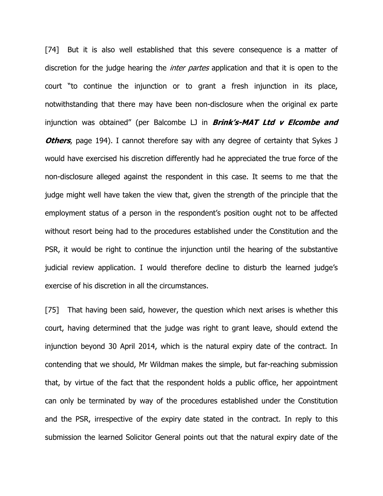[74] But it is also well established that this severe consequence is a matter of discretion for the judge hearing the *inter partes* application and that it is open to the court "to continue the injunction or to grant a fresh injunction in its place, notwithstanding that there may have been non-disclosure when the original ex parte injunction was obtained" (per Balcombe LJ in  $Brink's-MAT$  Ltd  $v$  Elcombe and **Others**, page 194). I cannot therefore say with any degree of certainty that Sykes J would have exercised his discretion differently had he appreciated the true force of the non-disclosure alleged against the respondent in this case. It seems to me that the judge might well have taken the view that, given the strength of the principle that the employment status of a person in the respondent's position ought not to be affected without resort being had to the procedures established under the Constitution and the PSR, it would be right to continue the injunction until the hearing of the substantive judicial review application. I would therefore decline to disturb the learned judge's exercise of his discretion in all the circumstances.

[75] That having been said, however, the question which next arises is whether this court, having determined that the judge was right to grant leave, should extend the injunction beyond 30 April 2014, which is the natural expiry date of the contract. In contending that we should, Mr Wildman makes the simple, but far-reaching submission that, by virtue of the fact that the respondent holds a public office, her appointment can only be terminated by way of the procedures established under the Constitution and the PSR, irrespective of the expiry date stated in the contract. In reply to this submission the learned Solicitor General points out that the natural expiry date of the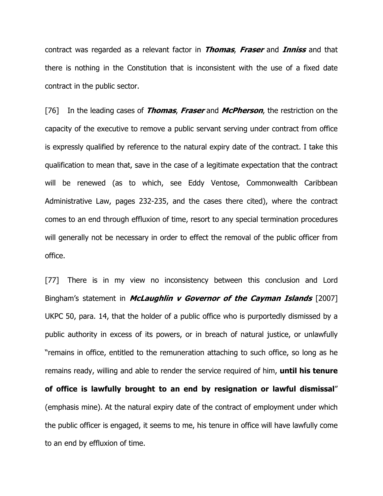contract was regarded as a relevant factor in **Thomas, Fraser** and **Inniss** and that there is nothing in the Constitution that is inconsistent with the use of a fixed date contract in the public sector.

[76] In the leading cases of **Thomas, Fraser** and **McPherson**, the restriction on the capacity of the executive to remove a public servant serving under contract from office is expressly qualified by reference to the natural expiry date of the contract. I take this qualification to mean that, save in the case of a legitimate expectation that the contract will be renewed (as to which, see Eddy Ventose, Commonwealth Caribbean Administrative Law, pages 232-235, and the cases there cited), where the contract comes to an end through effluxion of time, resort to any special termination procedures will generally not be necessary in order to effect the removal of the public officer from office.

[77] There is in my view no inconsistency between this conclusion and Lord Bingham's statement in *McLaughlin v Governor of the Cayman Islands* [2007] UKPC 50, para. 14, that the holder of a public office who is purportedly dismissed by a public authority in excess of its powers, or in breach of natural justice, or unlawfully "remains in office, entitled to the remuneration attaching to such office, so long as he remains ready, willing and able to render the service required of him, **until his tenure** of office is lawfully brought to an end by resignation or lawful dismissal" (emphasis mine). At the natural expiry date of the contract of employment under which the public officer is engaged, it seems to me, his tenure in office will have lawfully come to an end by effluxion of time.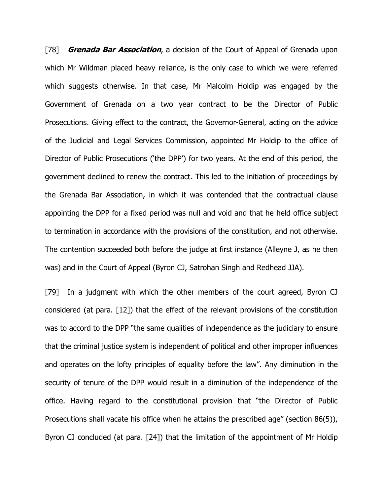[78] **Grenada Bar Association**, a decision of the Court of Appeal of Grenada upon which Mr Wildman placed heavy reliance, is the only case to which we were referred which suggests otherwise. In that case, Mr Malcolm Holdip was engaged by the Government of Grenada on a two year contract to be the Director of Public Prosecutions. Giving effect to the contract, the Governor-General, acting on the advice of the Judicial and Legal Services Commission, appointed Mr Holdip to the office of Director of Public Prosecutions ('the DPP') for two years. At the end of this period, the government declined to renew the contract. This led to the initiation of proceedings by the Grenada Bar Association, in which it was contended that the contractual clause appointing the DPP for a fixed period was null and void and that he held office subject to termination in accordance with the provisions of the constitution, and not otherwise. The contention succeeded both before the judge at first instance (Alleyne J, as he then was) and in the Court of Appeal (Byron CJ, Satrohan Singh and Redhead JJA).

[79] In a judgment with which the other members of the court agreed, Byron CJ considered (at para. [12]) that the effect of the relevant provisions of the constitution was to accord to the DPP "the same qualities of independence as the judiciary to ensure that the criminal justice system is independent of political and other improper influences and operates on the lofty principles of equality before the law". Any diminution in the security of tenure of the DPP would result in a diminution of the independence of the office. Having regard to the constitutional provision that "the Director of Public Prosecutions shall vacate his office when he attains the prescribed age" (section 86(5)), Byron CJ concluded (at para. [24]) that the limitation of the appointment of Mr Holdip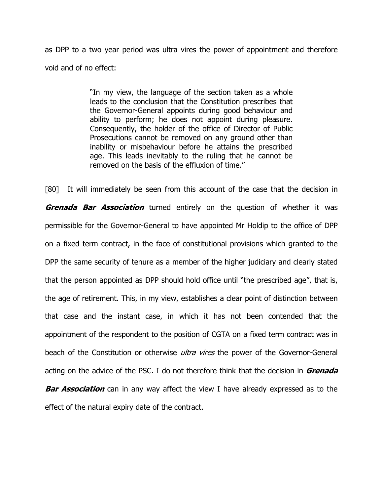as DPP to a two year period was ultra vires the power of appointment and therefore void and of no effect:

> "In my view, the language of the section taken as a whole leads to the conclusion that the Constitution prescribes that the Governor-General appoints during good behaviour and ability to perform; he does not appoint during pleasure. Consequently, the holder of the office of Director of Public Prosecutions cannot be removed on any ground other than inability or misbehaviour before he attains the prescribed age. This leads inevitably to the ruling that he cannot be removed on the basis of the effluxion of time."

[80] It will immediately be seen from this account of the case that the decision in **Grenada Bar Association** turned entirely on the question of whether it was permissible for the Governor-General to have appointed Mr Holdip to the office of DPP on a fixed term contract, in the face of constitutional provisions which granted to the DPP the same security of tenure as a member of the higher judiciary and clearly stated that the person appointed as DPP should hold office until "the prescribed age", that is, the age of retirement. This, in my view, establishes a clear point of distinction between that case and the instant case, in which it has not been contended that the appointment of the respondent to the position of CGTA on a fixed term contract was in beach of the Constitution or otherwise *ultra vires* the power of the Governor-General acting on the advice of the PSC. I do not therefore think that the decision in Grenada **Bar Association** can in any way affect the view I have already expressed as to the effect of the natural expiry date of the contract.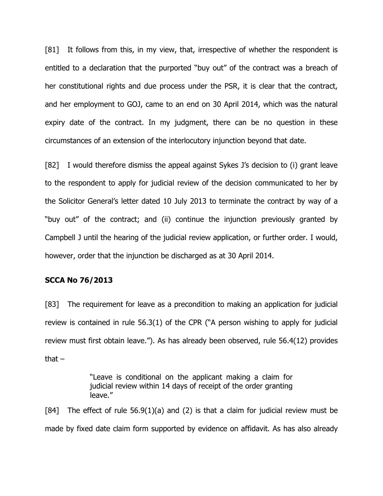[81] It follows from this, in my view, that, irrespective of whether the respondent is entitled to a declaration that the purported "buy out" of the contract was a breach of her constitutional rights and due process under the PSR, it is clear that the contract, and her employment to GOJ, came to an end on 30 April 2014, which was the natural expiry date of the contract. In my judgment, there can be no question in these circumstances of an extension of the interlocutory injunction beyond that date.

[82] I would therefore dismiss the appeal against Sykes J's decision to (i) grant leave to the respondent to apply for judicial review of the decision communicated to her by the Solicitor General's letter dated 10 July 2013 to terminate the contract by way of a "buy out" of the contract; and (ii) continue the injunction previously granted by Campbell J until the hearing of the judicial review application, or further order. I would, however, order that the injunction be discharged as at 30 April 2014.

### SCCA No 76/2013

[83] The requirement for leave as a precondition to making an application for judicial review is contained in rule 56.3(1) of the CPR ("A person wishing to apply for judicial review must first obtain leave."). As has already been observed, rule 56.4(12) provides that  $-$ 

> "Leave is conditional on the applicant making a claim for judicial review within 14 days of receipt of the order granting leave."

[84] The effect of rule  $56.9(1)(a)$  and (2) is that a claim for judicial review must be made by fixed date claim form supported by evidence on affidavit. As has also already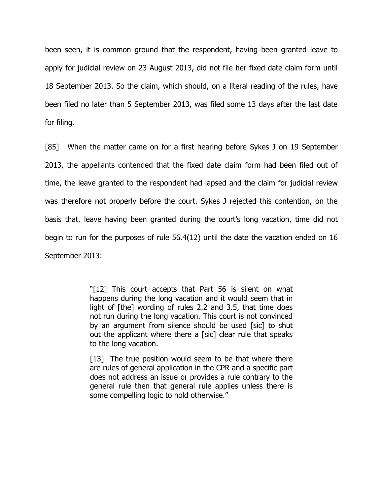been seen, it is common ground that the respondent, having been granted leave to apply for judicial review on 23 August 2013, did not file her fixed date claim form until 18 September 2013. So the claim, which should, on a literal reading of the rules, have been filed no later than 5 September 2013, was filed some 13 days after the last date for filing.

[85] When the matter came on for a first hearing before Sykes J on 19 September 2013, the appellants contended that the fixed date claim form had been filed out of time, the leave granted to the respondent had lapsed and the claim for judicial review was therefore not properly before the court. Sykes J rejected this contention, on the basis that, leave having been granted during the court's long vacation, time did not begin to run for the purposes of rule 56.4(12) until the date the vacation ended on 16 September 2013:

> "[12] This court accepts that Part 56 is silent on what happens during the long vacation and it would seem that in light of [the] wording of rules 2.2 and 3.5, that time does not run during the long vacation. This court is not convinced by an argument from silence should be used [sic] to shut out the applicant where there a [sic] clear rule that speaks to the long vacation.

> [13] The true position would seem to be that where there are rules of general application in the CPR and a specific part does not address an issue or provides a rule contrary to the general rule then that general rule applies unless there is some compelling logic to hold otherwise."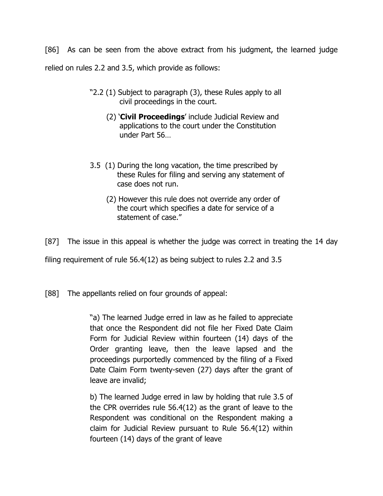[86] As can be seen from the above extract from his judgment, the learned judge relied on rules 2.2 and 3.5, which provide as follows:

- "2.2 (1) Subject to paragraph (3), these Rules apply to all civil proceedings in the court.
	- (2) 'Civil Proceedings' include Judicial Review and applications to the court under the Constitution under Part 56…
- 3.5 (1) During the long vacation, the time prescribed by these Rules for filing and serving any statement of case does not run.
	- (2) However this rule does not override any order of the court which specifies a date for service of a statement of case."

[87] The issue in this appeal is whether the judge was correct in treating the 14 day

filing requirement of rule 56.4(12) as being subject to rules 2.2 and 3.5

[88] The appellants relied on four grounds of appeal:

"a) The learned Judge erred in law as he failed to appreciate that once the Respondent did not file her Fixed Date Claim Form for Judicial Review within fourteen (14) days of the Order granting leave, then the leave lapsed and the proceedings purportedly commenced by the filing of a Fixed Date Claim Form twenty-seven (27) days after the grant of leave are invalid;

b) The learned Judge erred in law by holding that rule 3.5 of the CPR overrides rule 56.4(12) as the grant of leave to the Respondent was conditional on the Respondent making a claim for Judicial Review pursuant to Rule 56.4(12) within fourteen (14) days of the grant of leave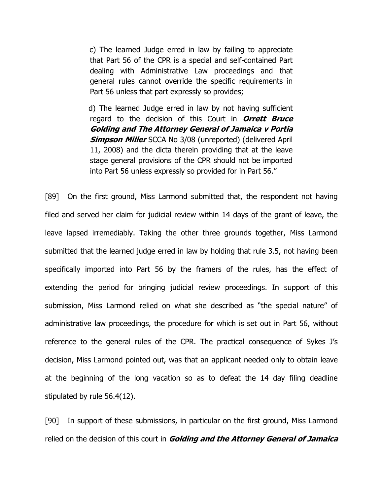c) The learned Judge erred in law by failing to appreciate that Part 56 of the CPR is a special and self-contained Part dealing with Administrative Law proceedings and that general rules cannot override the specific requirements in Part 56 unless that part expressly so provides;

 d) The learned Judge erred in law by not having sufficient regard to the decision of this Court in **Orrett Bruce** Golding and The Attorney General of Jamaica v Portia **Simpson Miller** SCCA No 3/08 (unreported) (delivered April 11, 2008) and the dicta therein providing that at the leave stage general provisions of the CPR should not be imported into Part 56 unless expressly so provided for in Part 56."

[89] On the first ground, Miss Larmond submitted that, the respondent not having filed and served her claim for judicial review within 14 days of the grant of leave, the leave lapsed irremediably. Taking the other three grounds together, Miss Larmond submitted that the learned judge erred in law by holding that rule 3.5, not having been specifically imported into Part 56 by the framers of the rules, has the effect of extending the period for bringing judicial review proceedings. In support of this submission, Miss Larmond relied on what she described as "the special nature" of administrative law proceedings, the procedure for which is set out in Part 56, without reference to the general rules of the CPR. The practical consequence of Sykes J's decision, Miss Larmond pointed out, was that an applicant needed only to obtain leave at the beginning of the long vacation so as to defeat the 14 day filing deadline stipulated by rule 56.4(12).

[90] In support of these submissions, in particular on the first ground, Miss Larmond relied on the decision of this court in **Golding and the Attorney General of Jamaica**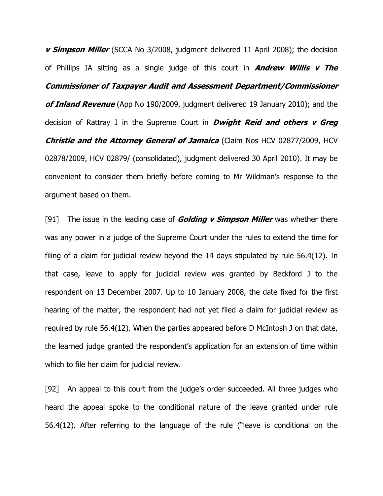**v Simpson Miller** (SCCA No 3/2008, judgment delivered 11 April 2008); the decision of Phillips JA sitting as a single judge of this court in **Andrew Willis v The** Commissioner of Taxpayer Audit and Assessment Department/Commissioner of Inland Revenue (App No 190/2009, judgment delivered 19 January 2010); and the decision of Rattray J in the Supreme Court in **Dwight Reid and others v Greg** Christie and the Attorney General of Jamaica (Claim Nos HCV 02877/2009, HCV 02878/2009, HCV 02879/ (consolidated), judgment delivered 30 April 2010). It may be convenient to consider them briefly before coming to Mr Wildman's response to the argument based on them.

[91] The issue in the leading case of **Golding v Simpson Miller** was whether there was any power in a judge of the Supreme Court under the rules to extend the time for filing of a claim for judicial review beyond the 14 days stipulated by rule 56.4(12). In that case, leave to apply for judicial review was granted by Beckford J to the respondent on 13 December 2007. Up to 10 January 2008, the date fixed for the first hearing of the matter, the respondent had not yet filed a claim for judicial review as required by rule 56.4(12). When the parties appeared before D McIntosh J on that date, the learned judge granted the respondent's application for an extension of time within which to file her claim for judicial review.

[92] An appeal to this court from the judge's order succeeded. All three judges who heard the appeal spoke to the conditional nature of the leave granted under rule 56.4(12). After referring to the language of the rule ("leave is conditional on the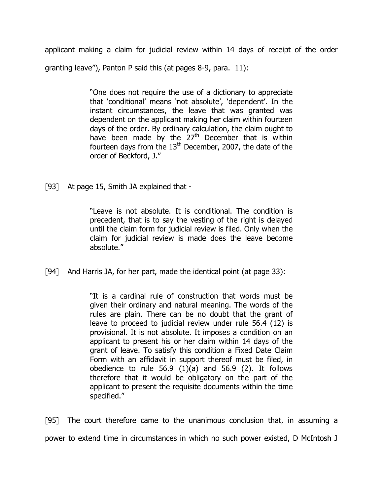applicant making a claim for judicial review within 14 days of receipt of the order granting leave"), Panton P said this (at pages 8-9, para. 11):

> "One does not require the use of a dictionary to appreciate that 'conditional' means 'not absolute', 'dependent'. In the instant circumstances, the leave that was granted was dependent on the applicant making her claim within fourteen days of the order. By ordinary calculation, the claim ought to have been made by the  $27<sup>th</sup>$  December that is within fourteen days from the  $13<sup>th</sup>$  December, 2007, the date of the order of Beckford, J."

[93] At page 15, Smith JA explained that -

"Leave is not absolute. It is conditional. The condition is precedent, that is to say the vesting of the right is delayed until the claim form for judicial review is filed. Only when the claim for judicial review is made does the leave become absolute."

[94] And Harris JA, for her part, made the identical point (at page 33):

"It is a cardinal rule of construction that words must be given their ordinary and natural meaning. The words of the rules are plain. There can be no doubt that the grant of leave to proceed to judicial review under rule 56.4 (12) is provisional. It is not absolute. It imposes a condition on an applicant to present his or her claim within 14 days of the grant of leave. To satisfy this condition a Fixed Date Claim Form with an affidavit in support thereof must be filed, in obedience to rule 56.9 (1)(a) and 56.9 (2). It follows therefore that it would be obligatory on the part of the applicant to present the requisite documents within the time specified."

[95] The court therefore came to the unanimous conclusion that, in assuming a power to extend time in circumstances in which no such power existed, D McIntosh J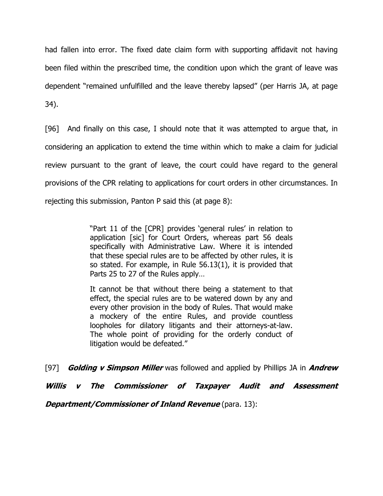had fallen into error. The fixed date claim form with supporting affidavit not having been filed within the prescribed time, the condition upon which the grant of leave was dependent "remained unfulfilled and the leave thereby lapsed" (per Harris JA, at page 34).

[96] And finally on this case, I should note that it was attempted to argue that, in considering an application to extend the time within which to make a claim for judicial review pursuant to the grant of leave, the court could have regard to the general provisions of the CPR relating to applications for court orders in other circumstances. In rejecting this submission, Panton P said this (at page 8):

> "Part 11 of the [CPR] provides 'general rules' in relation to application [sic] for Court Orders, whereas part 56 deals specifically with Administrative Law. Where it is intended that these special rules are to be affected by other rules, it is so stated. For example, in Rule 56.13(1), it is provided that Parts 25 to 27 of the Rules apply…

> It cannot be that without there being a statement to that effect, the special rules are to be watered down by any and every other provision in the body of Rules. That would make a mockery of the entire Rules, and provide countless loopholes for dilatory litigants and their attorneys-at-law. The whole point of providing for the orderly conduct of litigation would be defeated."

[97] Golding v Simpson Miller was followed and applied by Phillips JA in Andrew Willis v The Commissioner of Taxpayer Audit and Assessment **Department/Commissioner of Inland Revenue** (para. 13):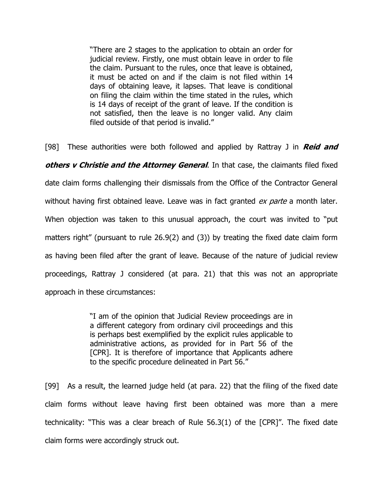"There are 2 stages to the application to obtain an order for judicial review. Firstly, one must obtain leave in order to file the claim. Pursuant to the rules, once that leave is obtained, it must be acted on and if the claim is not filed within 14 days of obtaining leave, it lapses. That leave is conditional on filing the claim within the time stated in the rules, which is 14 days of receipt of the grant of leave. If the condition is not satisfied, then the leave is no longer valid. Any claim filed outside of that period is invalid."

[98] These authorities were both followed and applied by Rattray J in **Reid and** others v Christie and the Attorney General. In that case, the claimants filed fixed date claim forms challenging their dismissals from the Office of the Contractor General without having first obtained leave. Leave was in fact granted *ex parte* a month later. When objection was taken to this unusual approach, the court was invited to "put matters right" (pursuant to rule 26.9(2) and (3)) by treating the fixed date claim form as having been filed after the grant of leave. Because of the nature of judicial review proceedings, Rattray J considered (at para. 21) that this was not an appropriate approach in these circumstances:

> "I am of the opinion that Judicial Review proceedings are in a different category from ordinary civil proceedings and this is perhaps best exemplified by the explicit rules applicable to administrative actions, as provided for in Part 56 of the [CPR]. It is therefore of importance that Applicants adhere to the specific procedure delineated in Part 56."

[99] As a result, the learned judge held (at para. 22) that the filing of the fixed date claim forms without leave having first been obtained was more than a mere technicality: "This was a clear breach of Rule 56.3(1) of the [CPR]". The fixed date claim forms were accordingly struck out.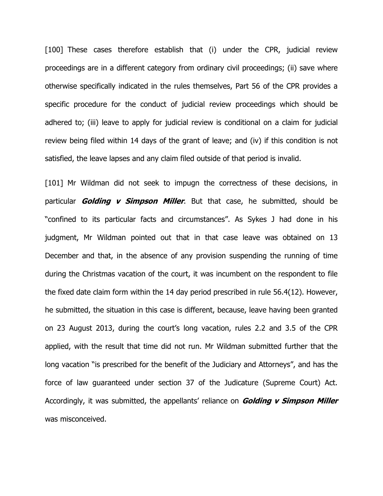[100] These cases therefore establish that (i) under the CPR, judicial review proceedings are in a different category from ordinary civil proceedings; (ii) save where otherwise specifically indicated in the rules themselves, Part 56 of the CPR provides a specific procedure for the conduct of judicial review proceedings which should be adhered to; (iii) leave to apply for judicial review is conditional on a claim for judicial review being filed within 14 days of the grant of leave; and (iv) if this condition is not satisfied, the leave lapses and any claim filed outside of that period is invalid.

[101] Mr Wildman did not seek to impugn the correctness of these decisions, in particular **Golding v Simpson Miller**. But that case, he submitted, should be "confined to its particular facts and circumstances". As Sykes J had done in his judgment, Mr Wildman pointed out that in that case leave was obtained on 13 December and that, in the absence of any provision suspending the running of time during the Christmas vacation of the court, it was incumbent on the respondent to file the fixed date claim form within the 14 day period prescribed in rule 56.4(12). However, he submitted, the situation in this case is different, because, leave having been granted on 23 August 2013, during the court's long vacation, rules 2.2 and 3.5 of the CPR applied, with the result that time did not run. Mr Wildman submitted further that the long vacation "is prescribed for the benefit of the Judiciary and Attorneys", and has the force of law guaranteed under section 37 of the Judicature (Supreme Court) Act. Accordingly, it was submitted, the appellants' reliance on **Golding v Simpson Miller** was misconceived.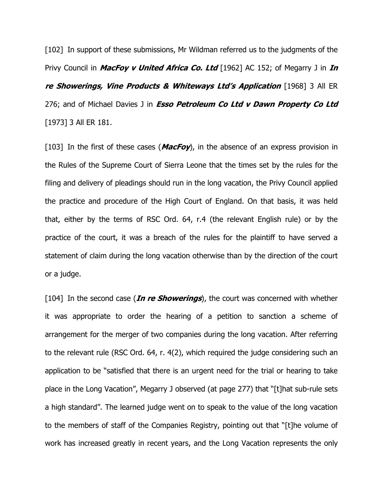[102] In support of these submissions, Mr Wildman referred us to the judgments of the Privy Council in *MacFoy v United Africa Co. Ltd* [1962] AC 152; of Megarry J in *In* re Showerings, Vine Products & Whiteways Ltd's Application [1968] 3 All ER 276; and of Michael Davies J in *Esso Petroleum Co Ltd v Dawn Property Co Ltd* [1973] 3 All ER 181.

[103] In the first of these cases (*MacFoy*), in the absence of an express provision in the Rules of the Supreme Court of Sierra Leone that the times set by the rules for the filing and delivery of pleadings should run in the long vacation, the Privy Council applied the practice and procedure of the High Court of England. On that basis, it was held that, either by the terms of RSC Ord. 64, r.4 (the relevant English rule) or by the practice of the court, it was a breach of the rules for the plaintiff to have served a statement of claim during the long vacation otherwise than by the direction of the court or a judge.

[104] In the second case (*In re Showerings*), the court was concerned with whether it was appropriate to order the hearing of a petition to sanction a scheme of arrangement for the merger of two companies during the long vacation. After referring to the relevant rule (RSC Ord. 64, r. 4(2), which required the judge considering such an application to be "satisfied that there is an urgent need for the trial or hearing to take place in the Long Vacation", Megarry J observed (at page 277) that "[t]hat sub-rule sets a high standard". The learned judge went on to speak to the value of the long vacation to the members of staff of the Companies Registry, pointing out that "[t]he volume of work has increased greatly in recent years, and the Long Vacation represents the only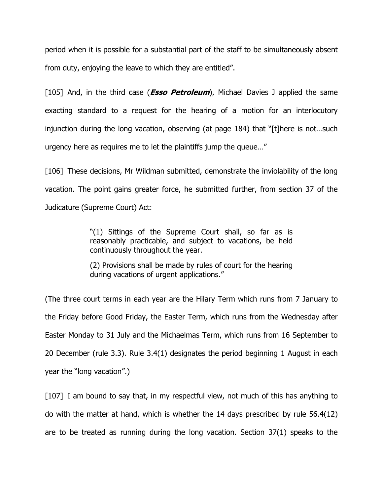period when it is possible for a substantial part of the staff to be simultaneously absent from duty, enjoying the leave to which they are entitled".

[105] And, in the third case (**Esso Petroleum**), Michael Davies J applied the same exacting standard to a request for the hearing of a motion for an interlocutory injunction during the long vacation, observing (at page 184) that "[t]here is not…such urgency here as requires me to let the plaintiffs jump the queue…"

[106] These decisions, Mr Wildman submitted, demonstrate the inviolability of the long vacation. The point gains greater force, he submitted further, from section 37 of the Judicature (Supreme Court) Act:

> "(1) Sittings of the Supreme Court shall, so far as is reasonably practicable, and subject to vacations, be held continuously throughout the year.

> (2) Provisions shall be made by rules of court for the hearing during vacations of urgent applications."

(The three court terms in each year are the Hilary Term which runs from 7 January to the Friday before Good Friday, the Easter Term, which runs from the Wednesday after Easter Monday to 31 July and the Michaelmas Term, which runs from 16 September to 20 December (rule 3.3). Rule 3.4(1) designates the period beginning 1 August in each year the "long vacation".)

[107] I am bound to say that, in my respectful view, not much of this has anything to do with the matter at hand, which is whether the 14 days prescribed by rule 56.4(12) are to be treated as running during the long vacation. Section 37(1) speaks to the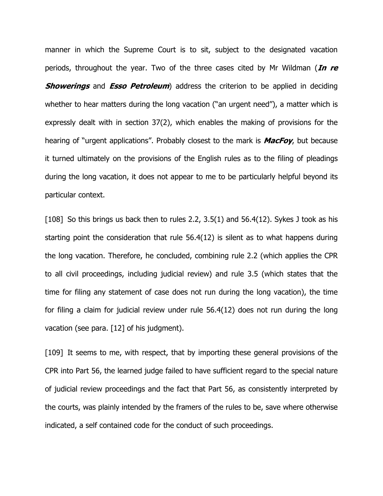manner in which the Supreme Court is to sit, subject to the designated vacation periods, throughout the year. Two of the three cases cited by Mr Wildman (In re **Showerings** and **Esso Petroleum**) address the criterion to be applied in deciding whether to hear matters during the long vacation ("an urgent need"), a matter which is expressly dealt with in section 37(2), which enables the making of provisions for the hearing of "urgent applications". Probably closest to the mark is **MacFoy**, but because it turned ultimately on the provisions of the English rules as to the filing of pleadings during the long vacation, it does not appear to me to be particularly helpful beyond its particular context.

[108] So this brings us back then to rules 2.2, 3.5(1) and 56.4(12). Sykes J took as his starting point the consideration that rule 56.4(12) is silent as to what happens during the long vacation. Therefore, he concluded, combining rule 2.2 (which applies the CPR to all civil proceedings, including judicial review) and rule 3.5 (which states that the time for filing any statement of case does not run during the long vacation), the time for filing a claim for judicial review under rule 56.4(12) does not run during the long vacation (see para. [12] of his judgment).

[109] It seems to me, with respect, that by importing these general provisions of the CPR into Part 56, the learned judge failed to have sufficient regard to the special nature of judicial review proceedings and the fact that Part 56, as consistently interpreted by the courts, was plainly intended by the framers of the rules to be, save where otherwise indicated, a self contained code for the conduct of such proceedings.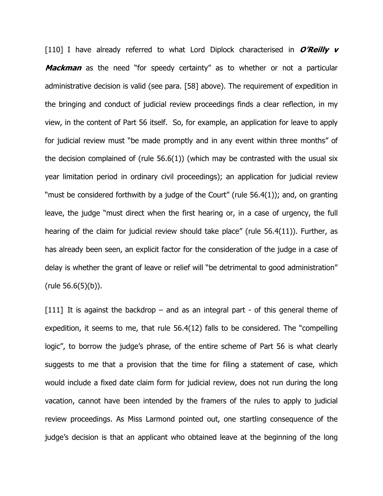[110] I have already referred to what Lord Diplock characterised in  $O'Reilly$  v **Mackman** as the need "for speedy certainty" as to whether or not a particular administrative decision is valid (see para. [58] above). The requirement of expedition in the bringing and conduct of judicial review proceedings finds a clear reflection, in my view, in the content of Part 56 itself. So, for example, an application for leave to apply for judicial review must "be made promptly and in any event within three months" of the decision complained of (rule  $56.6(1)$ ) (which may be contrasted with the usual six year limitation period in ordinary civil proceedings); an application for judicial review "must be considered forthwith by a judge of the Court" (rule 56.4(1)); and, on granting leave, the judge "must direct when the first hearing or, in a case of urgency, the full hearing of the claim for judicial review should take place" (rule 56.4(11)). Further, as has already been seen, an explicit factor for the consideration of the judge in a case of delay is whether the grant of leave or relief will "be detrimental to good administration" (rule 56.6(5)(b)).

 $[111]$  It is against the backdrop – and as an integral part - of this general theme of expedition, it seems to me, that rule 56.4(12) falls to be considered. The "compelling logic", to borrow the judge's phrase, of the entire scheme of Part 56 is what clearly suggests to me that a provision that the time for filing a statement of case, which would include a fixed date claim form for judicial review, does not run during the long vacation, cannot have been intended by the framers of the rules to apply to judicial review proceedings. As Miss Larmond pointed out, one startling consequence of the judge's decision is that an applicant who obtained leave at the beginning of the long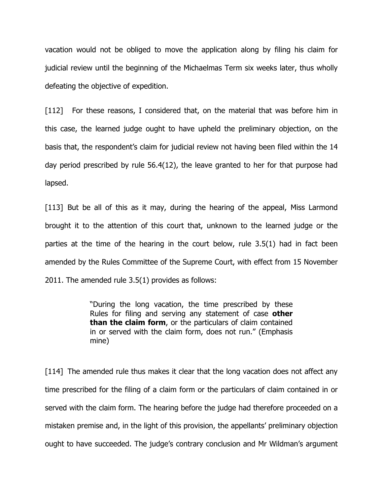vacation would not be obliged to move the application along by filing his claim for judicial review until the beginning of the Michaelmas Term six weeks later, thus wholly defeating the objective of expedition.

[112] For these reasons, I considered that, on the material that was before him in this case, the learned judge ought to have upheld the preliminary objection, on the basis that, the respondent's claim for judicial review not having been filed within the 14 day period prescribed by rule 56.4(12), the leave granted to her for that purpose had lapsed.

[113] But be all of this as it may, during the hearing of the appeal, Miss Larmond brought it to the attention of this court that, unknown to the learned judge or the parties at the time of the hearing in the court below, rule 3.5(1) had in fact been amended by the Rules Committee of the Supreme Court, with effect from 15 November 2011. The amended rule 3.5(1) provides as follows:

> "During the long vacation, the time prescribed by these Rules for filing and serving any statement of case other than the claim form, or the particulars of claim contained in or served with the claim form, does not run." (Emphasis mine)

[114] The amended rule thus makes it clear that the long vacation does not affect any time prescribed for the filing of a claim form or the particulars of claim contained in or served with the claim form. The hearing before the judge had therefore proceeded on a mistaken premise and, in the light of this provision, the appellants' preliminary objection ought to have succeeded. The judge's contrary conclusion and Mr Wildman's argument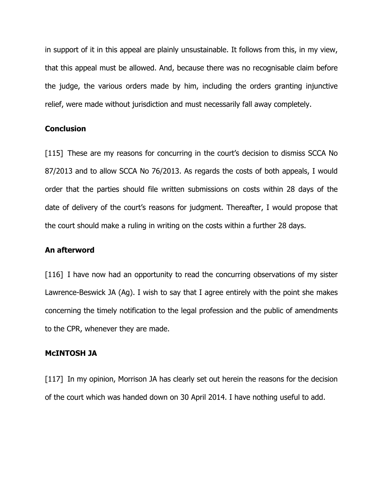in support of it in this appeal are plainly unsustainable. It follows from this, in my view, that this appeal must be allowed. And, because there was no recognisable claim before the judge, the various orders made by him, including the orders granting injunctive relief, were made without jurisdiction and must necessarily fall away completely.

# **Conclusion**

[115] These are my reasons for concurring in the court's decision to dismiss SCCA No 87/2013 and to allow SCCA No 76/2013. As regards the costs of both appeals, I would order that the parties should file written submissions on costs within 28 days of the date of delivery of the court's reasons for judgment. Thereafter, I would propose that the court should make a ruling in writing on the costs within a further 28 days.

#### An afterword

[116] I have now had an opportunity to read the concurring observations of my sister Lawrence-Beswick JA (Ag). I wish to say that I agree entirely with the point she makes concerning the timely notification to the legal profession and the public of amendments to the CPR, whenever they are made.

### McINTOSH JA

[117] In my opinion, Morrison JA has clearly set out herein the reasons for the decision of the court which was handed down on 30 April 2014. I have nothing useful to add.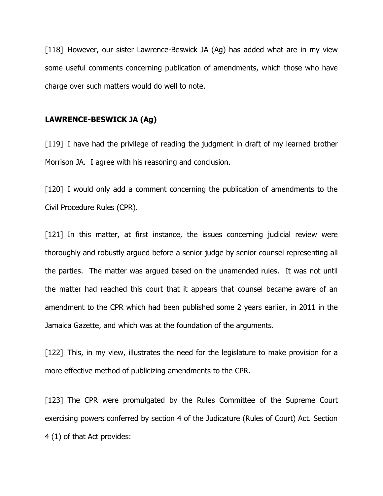[118] However, our sister Lawrence-Beswick JA (Ag) has added what are in my view some useful comments concerning publication of amendments, which those who have charge over such matters would do well to note.

### LAWRENCE-BESWICK JA (Ag)

[119] I have had the privilege of reading the judgment in draft of my learned brother Morrison JA. I agree with his reasoning and conclusion.

[120] I would only add a comment concerning the publication of amendments to the Civil Procedure Rules (CPR).

[121] In this matter, at first instance, the issues concerning judicial review were thoroughly and robustly argued before a senior judge by senior counsel representing all the parties. The matter was argued based on the unamended rules. It was not until the matter had reached this court that it appears that counsel became aware of an amendment to the CPR which had been published some 2 years earlier, in 2011 in the Jamaica Gazette, and which was at the foundation of the arguments.

[122] This, in my view, illustrates the need for the legislature to make provision for a more effective method of publicizing amendments to the CPR.

[123] The CPR were promulgated by the Rules Committee of the Supreme Court exercising powers conferred by section 4 of the Judicature (Rules of Court) Act. Section 4 (1) of that Act provides: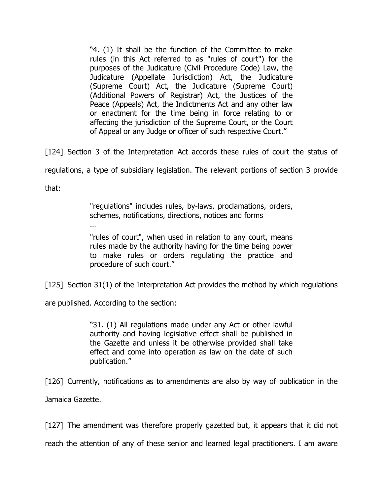"4. (1) It shall be the function of the Committee to make rules (in this Act referred to as "rules of court") for the purposes of the Judicature (Civil Procedure Code) Law, the Judicature (Appellate Jurisdiction) Act, the Judicature (Supreme Court) Act, the Judicature (Supreme Court) (Additional Powers of Registrar) Act, the Justices of the Peace (Appeals) Act, the Indictments Act and any other law or enactment for the time being in force relating to or affecting the jurisdiction of the Supreme Court, or the Court of Appeal or any Judge or officer of such respective Court."

[124] Section 3 of the Interpretation Act accords these rules of court the status of

regulations, a type of subsidiary legislation. The relevant portions of section 3 provide

that:

"regulations" includes rules, by-laws, proclamations, orders, schemes, notifications, directions, notices and forms

"rules of court", when used in relation to any court, means rules made by the authority having for the time being power to make rules or orders regulating the practice and procedure of such court."

[125] Section 31(1) of the Interpretation Act provides the method by which regulations

are published. According to the section:

…

"31. (1) All regulations made under any Act or other lawful authority and having legislative effect shall be published in the Gazette and unless it be otherwise provided shall take effect and come into operation as law on the date of such publication."

[126] Currently, notifications as to amendments are also by way of publication in the Jamaica Gazette.

[127] The amendment was therefore properly gazetted but, it appears that it did not

reach the attention of any of these senior and learned legal practitioners. I am aware